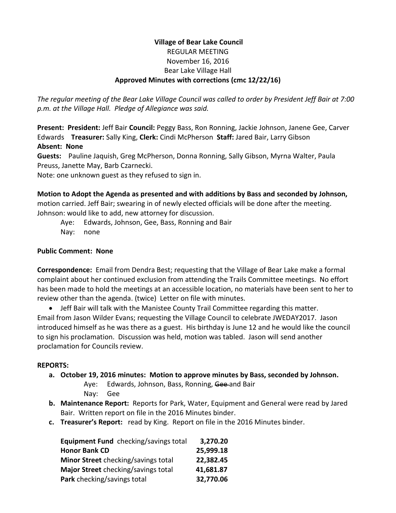### **Village of Bear Lake Council** REGULAR MEETING November 16, 2016 Bear Lake Village Hall **Approved Minutes with corrections (cmc 12/22/16)**

*The regular meeting of the Bear Lake Village Council was called to order by President Jeff Bair at 7:00 p.m. at the Village Hall. Pledge of Allegiance was said.*

**Present: President:** Jeff Bair **Council:** Peggy Bass, Ron Ronning, Jackie Johnson, Janene Gee, Carver Edwards **Treasurer:** Sally King, **Clerk:** Cindi McPherson **Staff:** Jared Bair, Larry Gibson **Absent: None**

**Guests:** Pauline Jaquish, Greg McPherson, Donna Ronning, Sally Gibson, Myrna Walter, Paula Preuss, Janette May, Barb Czarnecki.

Note: one unknown guest as they refused to sign in.

## **Motion to Adopt the Agenda as presented and with additions by Bass and seconded by Johnson,**

motion carried. Jeff Bair; swearing in of newly elected officials will be done after the meeting. Johnson: would like to add, new attorney for discussion.

Aye: Edwards, Johnson, Gee, Bass, Ronning and Bair

Nay: none

#### **Public Comment: None**

**Correspondence:** Email from Dendra Best; requesting that the Village of Bear Lake make a formal complaint about her continued exclusion from attending the Trails Committee meetings. No effort has been made to hold the meetings at an accessible location, no materials have been sent to her to review other than the agenda. (twice) Letter on file with minutes.

 Jeff Bair will talk with the Manistee County Trail Committee regarding this matter. Email from Jason Wilder Evans; requesting the Village Council to celebrate JWEDAY2017. Jason introduced himself as he was there as a guest. His birthday is June 12 and he would like the council to sign his proclamation. Discussion was held, motion was tabled. Jason will send another proclamation for Councils review.

#### **REPORTS:**

- **a. October 19, 2016 minutes: Motion to approve minutes by Bass, seconded by Johnson.** Aye: Edwards, Johnson, Bass, Ronning, Gee-and Bair
	- Nay: Gee
- **b. Maintenance Report:** Reports for Park, Water, Equipment and General were read by Jared Bair. Written report on file in the 2016 Minutes binder.
- **c. Treasurer's Report:** read by King. Report on file in the 2016 Minutes binder.

| Equipment Fund checking/savings total | 3,270.20  |
|---------------------------------------|-----------|
| <b>Honor Bank CD</b>                  | 25,999.18 |
| Minor Street checking/savings total   | 22,382.45 |
| Major Street checking/savings total   | 41,681.87 |
| Park checking/savings total           | 32,770.06 |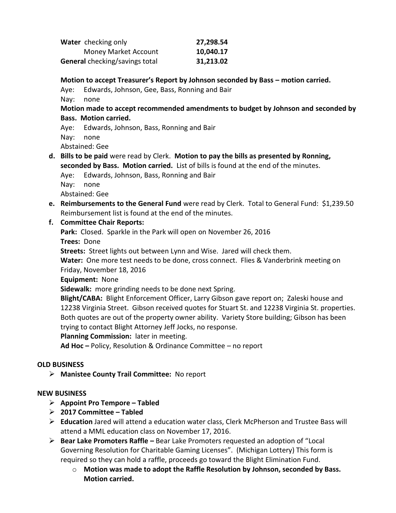| Water checking only                   | 27,298.54 |
|---------------------------------------|-----------|
| <b>Money Market Account</b>           | 10,040.17 |
| <b>General</b> checking/savings total | 31,213.02 |

#### **Motion to accept Treasurer's Report by Johnson seconded by Bass – motion carried.**

Aye: Edwards, Johnson, Gee, Bass, Ronning and Bair

Nay: none

#### **Motion made to accept recommended amendments to budget by Johnson and seconded by Bass. Motion carried.**

Aye: Edwards, Johnson, Bass, Ronning and Bair Nay: none Abstained: Gee

**d. Bills to be paid** were read by Clerk. **Motion to pay the bills as presented by Ronning, seconded by Bass. Motion carried.** List of bills is found at the end of the minutes.

Aye: Edwards, Johnson, Bass, Ronning and Bair

Nay: none

Abstained: Gee

**e. Reimbursements to the General Fund** were read by Clerk. Total to General Fund: \$1,239.50 Reimbursement list is found at the end of the minutes.

#### **f. Committee Chair Reports:**

**Park:** Closed. Sparkle in the Park will open on November 26, 2016

- **Trees:** Done
- **Streets:** Street lights out between Lynn and Wise. Jared will check them.

**Water:** One more test needs to be done, cross connect. Flies & Vanderbrink meeting on Friday, November 18, 2016

#### **Equipment:** None

**Sidewalk:** more grinding needs to be done next Spring.

**Blight/CABA:** Blight Enforcement Officer, Larry Gibson gave report on; Zaleski house and 12238 Virginia Street. Gibson received quotes for Stuart St. and 12238 Virginia St. properties. Both quotes are out of the property owner ability. Variety Store building; Gibson has been trying to contact Blight Attorney Jeff Jocks, no response.

**Planning Commission:** later in meeting.

**Ad Hoc –** Policy, Resolution & Ordinance Committee – no report

#### **OLD BUSINESS**

**Manistee County Trail Committee:** No report

#### **NEW BUSINESS**

- **Appoint Pro Tempore – Tabled**
- **2017 Committee – Tabled**
- **Education** Jared will attend a education water class, Clerk McPherson and Trustee Bass will attend a MML education class on November 17, 2016.
- **Bear Lake Promoters Raffle –** Bear Lake Promoters requested an adoption of "Local Governing Resolution for Charitable Gaming Licenses". (Michigan Lottery) This form is required so they can hold a raffle, proceeds go toward the Blight Elimination Fund.
	- o **Motion was made to adopt the Raffle Resolution by Johnson, seconded by Bass. Motion carried.**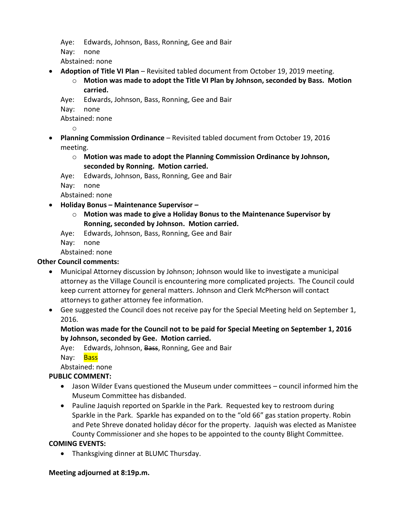Aye: Edwards, Johnson, Bass, Ronning, Gee and Bair

Nay: none

Abstained: none

- **Adoption of Title VI Plan** Revisited tabled document from October 19, 2019 meeting.
	- o **Motion was made to adopt the Title VI Plan by Johnson, seconded by Bass. Motion carried.**
	- Aye: Edwards, Johnson, Bass, Ronning, Gee and Bair
	- Nay: none

Abstained: none

o

- **Planning Commission Ordinance** Revisited tabled document from October 19, 2016 meeting.
	- o **Motion was made to adopt the Planning Commission Ordinance by Johnson, seconded by Ronning. Motion carried.**
	- Aye: Edwards, Johnson, Bass, Ronning, Gee and Bair

Nay: none

Abstained: none

- **Holiday Bonus – Maintenance Supervisor –**
	- o **Motion was made to give a Holiday Bonus to the Maintenance Supervisor by Ronning, seconded by Johnson. Motion carried.**
	- Aye: Edwards, Johnson, Bass, Ronning, Gee and Bair

Nay: none

Abstained: none

## **Other Council comments:**

- Municipal Attorney discussion by Johnson; Johnson would like to investigate a municipal attorney as the Village Council is encountering more complicated projects. The Council could keep current attorney for general matters. Johnson and Clerk McPherson will contact attorneys to gather attorney fee information.
- Gee suggested the Council does not receive pay for the Special Meeting held on September 1, 2016.

**Motion was made for the Council not to be paid for Special Meeting on September 1, 2016 by Johnson, seconded by Gee. Motion carried.**

Aye: Edwards, Johnson, Bass, Ronning, Gee and Bair

Nav: Bass

Abstained: none

## **PUBLIC COMMENT:**

- Jason Wilder Evans questioned the Museum under committees council informed him the Museum Committee has disbanded.
- Pauline Jaquish reported on Sparkle in the Park. Requested key to restroom during Sparkle in the Park. Sparkle has expanded on to the "old 66" gas station property. Robin and Pete Shreve donated holiday décor for the property. Jaquish was elected as Manistee County Commissioner and she hopes to be appointed to the county Blight Committee.

## **COMING EVENTS:**

Thanksgiving dinner at BLUMC Thursday.

## **Meeting adjourned at 8:19p.m.**